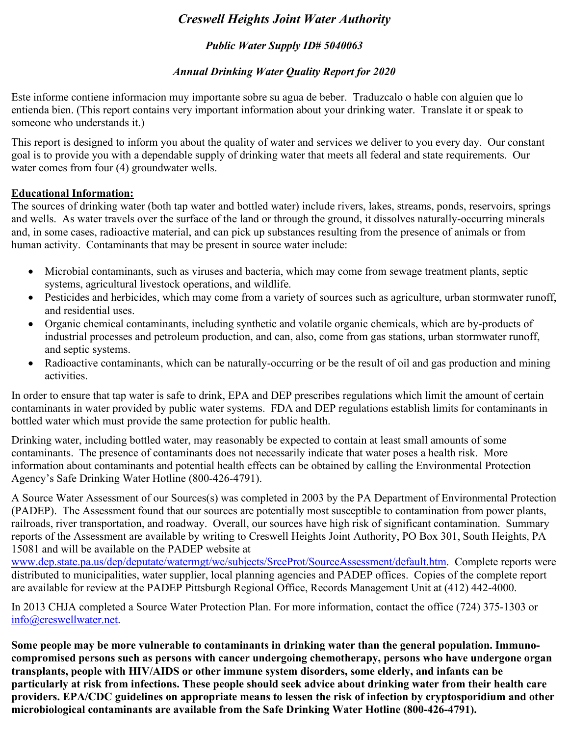# *Creswell Heights Joint Water Authority*

# *Public Water Supply ID# 5040063*

# *Annual Drinking Water Quality Report for 2020*

Este informe contiene informacion muy importante sobre su agua de beber. Traduzcalo o hable con alguien que lo entienda bien. (This report contains very important information about your drinking water. Translate it or speak to someone who understands it.)

This report is designed to inform you about the quality of water and services we deliver to you every day. Our constant goal is to provide you with a dependable supply of drinking water that meets all federal and state requirements. Our water comes from four (4) groundwater wells.

### **Educational Information:**

The sources of drinking water (both tap water and bottled water) include rivers, lakes, streams, ponds, reservoirs, springs and wells. As water travels over the surface of the land or through the ground, it dissolves naturally-occurring minerals and, in some cases, radioactive material, and can pick up substances resulting from the presence of animals or from human activity. Contaminants that may be present in source water include:

- Microbial contaminants, such as viruses and bacteria, which may come from sewage treatment plants, septic systems, agricultural livestock operations, and wildlife.
- Pesticides and herbicides, which may come from a variety of sources such as agriculture, urban stormwater runoff, and residential uses.
- Organic chemical contaminants, including synthetic and volatile organic chemicals, which are by-products of industrial processes and petroleum production, and can, also, come from gas stations, urban stormwater runoff, and septic systems.
- Radioactive contaminants, which can be naturally-occurring or be the result of oil and gas production and mining activities.

In order to ensure that tap water is safe to drink, EPA and DEP prescribes regulations which limit the amount of certain contaminants in water provided by public water systems. FDA and DEP regulations establish limits for contaminants in bottled water which must provide the same protection for public health.

Drinking water, including bottled water, may reasonably be expected to contain at least small amounts of some contaminants. The presence of contaminants does not necessarily indicate that water poses a health risk. More information about contaminants and potential health effects can be obtained by calling the Environmental Protection Agency's Safe Drinking Water Hotline (800-426-4791).

A Source Water Assessment of our Sources(s) was completed in 2003 by the PA Department of Environmental Protection (PADEP). The Assessment found that our sources are potentially most susceptible to contamination from power plants, railroads, river transportation, and roadway. Overall, our sources have high risk of significant contamination. Summary reports of the Assessment are available by writing to Creswell Heights Joint Authority, PO Box 301, South Heights, PA 15081 and will be available on the PADEP website at

www.dep.state.pa.us/dep/deputate/watermgt/wc/subjects/SrceProt/SourceAssessment/default.htm. Complete reports were distributed to municipalities, water supplier, local planning agencies and PADEP offices. Copies of the complete report are available for review at the PADEP Pittsburgh Regional Office, Records Management Unit at (412) 442-4000.

In 2013 CHJA completed a Source Water Protection Plan. For more information, contact the office (724) 375-1303 or info@creswellwater.net.

**Some people may be more vulnerable to contaminants in drinking water than the general population. Immunocompromised persons such as persons with cancer undergoing chemotherapy, persons who have undergone organ transplants, people with HIV/AIDS or other immune system disorders, some elderly, and infants can be particularly at risk from infections. These people should seek advice about drinking water from their health care providers. EPA/CDC guidelines on appropriate means to lessen the risk of infection by cryptosporidium and other microbiological contaminants are available from the Safe Drinking Water Hotline (800-426-4791).**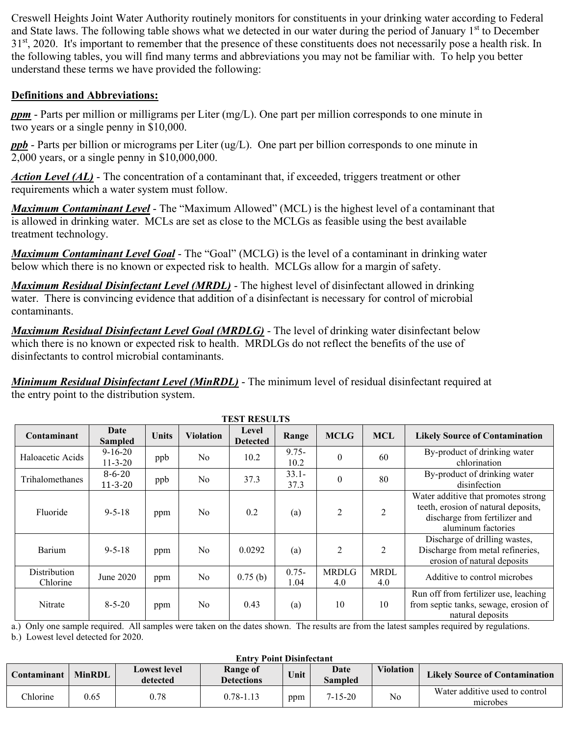Creswell Heights Joint Water Authority routinely monitors for constituents in your drinking water according to Federal and State laws. The following table shows what we detected in our water during the period of January 1<sup>st</sup> to December  $31<sup>st</sup>$ , 2020. It's important to remember that the presence of these constituents does not necessarily pose a health risk. In the following tables, you will find many terms and abbreviations you may not be familiar with. To help you better understand these terms we have provided the following:

### **Definitions and Abbreviations:**

*ppm* - Parts per million or milligrams per Liter (mg/L). One part per million corresponds to one minute in two years or a single penny in \$10,000.

*ppb* - Parts per billion or micrograms per Liter (ug/L). One part per billion corresponds to one minute in 2,000 years, or a single penny in \$10,000,000.

*Action Level (AL)* - The concentration of a contaminant that, if exceeded, triggers treatment or other requirements which a water system must follow.

*Maximum Contaminant Level* - The "Maximum Allowed" (MCL) is the highest level of a contaminant that is allowed in drinking water. MCLs are set as close to the MCLGs as feasible using the best available treatment technology.

*Maximum Contaminant Level Goal* - The "Goal" (MCLG) is the level of a contaminant in drinking water below which there is no known or expected risk to health. MCLGs allow for a margin of safety.

*Maximum Residual Disinfectant Level (MRDL)* - The highest level of disinfectant allowed in drinking water. There is convincing evidence that addition of a disinfectant is necessary for control of microbial contaminants.

*Maximum Residual Disinfectant Level Goal (MRDLG)* - The level of drinking water disinfectant below which there is no known or expected risk to health. MRDLGs do not reflect the benefits of the use of disinfectants to control microbial contaminants.

*Minimum Residual Disinfectant Level (MinRDL)* - The minimum level of residual disinfectant required at the entry point to the distribution system.

| TEST RESULTS             |                                |              |                  |                          |                  |                     |                    |                                                                                                                                   |
|--------------------------|--------------------------------|--------------|------------------|--------------------------|------------------|---------------------|--------------------|-----------------------------------------------------------------------------------------------------------------------------------|
| Contaminant              | Date<br><b>Sampled</b>         | <b>Units</b> | <b>Violation</b> | Level<br><b>Detected</b> | Range            | <b>MCLG</b>         | <b>MCL</b>         | <b>Likely Source of Contamination</b>                                                                                             |
| Haloacetic Acids         | $9 - 16 - 20$<br>$11 - 3 - 20$ | ppb          | No               | 10.2                     | $9.75 -$<br>10.2 | $\theta$            | 60                 | By-product of drinking water<br>chlorination                                                                                      |
| Trihalomethanes          | $8 - 6 - 20$<br>$11 - 3 - 20$  | ppb          | No               | 37.3                     | $33.1 -$<br>37.3 | $\theta$            | 80                 | By-product of drinking water<br>disinfection                                                                                      |
| Fluoride                 | $9 - 5 - 18$                   | ppm          | No               | 0.2                      | (a)              | $\overline{2}$      | $\mathfrak{D}$     | Water additive that promotes strong<br>teeth, erosion of natural deposits,<br>discharge from fertilizer and<br>aluminum factories |
| Barium                   | $9 - 5 - 18$                   | ppm          | No               | 0.0292                   | (a)              | $\overline{2}$      | $\overline{2}$     | Discharge of drilling wastes,<br>Discharge from metal refineries,<br>erosion of natural deposits                                  |
| Distribution<br>Chlorine | June 2020                      | ppm          | No               | 0.75(b)                  | $0.75 -$<br>1.04 | <b>MRDLG</b><br>4.0 | <b>MRDL</b><br>4.0 | Additive to control microbes                                                                                                      |
| Nitrate                  | $8 - 5 - 20$                   | ppm          | No               | 0.43                     | (a)              | 10                  | 10                 | Run off from fertilizer use, leaching<br>from septic tanks, sewage, erosion of<br>natural deposits                                |

**TEST RESULTS**

a.) Only one sample required. All samples were taken on the dates shown. The results are from the latest samples required by regulations.

b.) Lowest level detected for 2020.

| <b>Entry Point Disinfectant</b> |               |                                 |                               |      |                        |                  |                                            |
|---------------------------------|---------------|---------------------------------|-------------------------------|------|------------------------|------------------|--------------------------------------------|
| Contaminant                     | <b>MinRDL</b> | <b>Lowest level</b><br>detected | Range of<br><b>Detections</b> | Unit | Date<br><b>Sampled</b> | <b>Violation</b> | <b>Likely Source of Contamination</b>      |
| Chlorine                        | 0.65          | 0.78                            | $0.78 - 1.13$                 | ppm  | 7-15-20                | No               | Water additive used to control<br>microbes |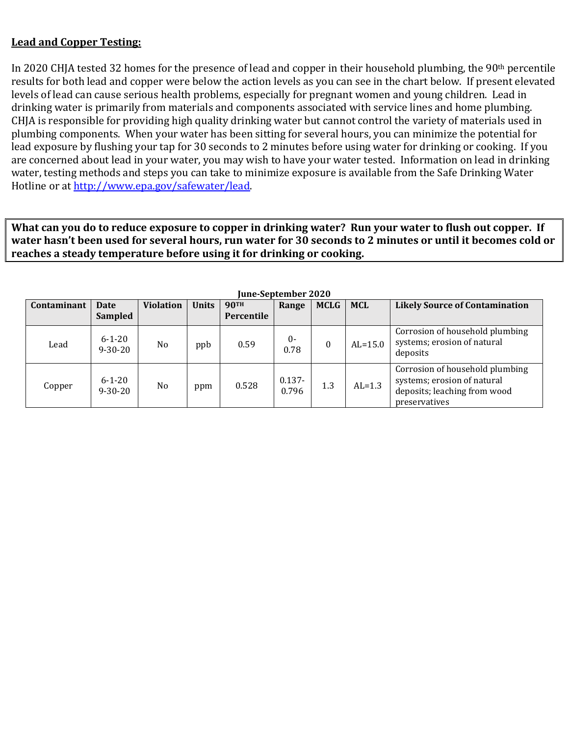### **Lead and Copper Testing:**

In 2020 CHJA tested 32 homes for the presence of lead and copper in their household plumbing, the 90th percentile results for both lead and copper were below the action levels as you can see in the chart below. If present elevated levels of lead can cause serious health problems, especially for pregnant women and young children. Lead in drinking water is primarily from materials and components associated with service lines and home plumbing. CHJA is responsible for providing high quality drinking water but cannot control the variety of materials used in plumbing components. When your water has been sitting for several hours, you can minimize the potential for lead exposure by flushing your tap for 30 seconds to 2 minutes before using water for drinking or cooking. If you are concerned about lead in your water, you may wish to have your water tested. Information on lead in drinking water, testing methods and steps you can take to minimize exposure is available from the Safe Drinking Water Hotline or at http://www.epa.gov/safewater/lead.

**What can you do to reduce exposure to copper in drinking water? Run your water to flush out copper. If water hasn't been used for several hours, run water for 30 seconds to 2 minutes or until it becomes cold or reaches a steady temperature before using it for drinking or cooking.** 

| Contaminant | <b>Date</b><br>Sampled        | <b>Violation</b> | <b>Units</b> | <b>90TH</b><br>Percentile | Range              | <b>MCLG</b>      | <b>MCL</b> | <b>Likely Source of Contamination</b>                                                                           |
|-------------|-------------------------------|------------------|--------------|---------------------------|--------------------|------------------|------------|-----------------------------------------------------------------------------------------------------------------|
| Lead        | $6 - 1 - 20$<br>$9 - 30 - 20$ | N <sub>o</sub>   | ppb          | 0.59                      | $0-$<br>0.78       | $\boldsymbol{0}$ | $AL=15.0$  | Corrosion of household plumbing<br>systems; erosion of natural<br>deposits                                      |
| Copper      | $6 - 1 - 20$<br>$9 - 30 - 20$ | N <sub>o</sub>   | ppm          | 0.528                     | $0.137 -$<br>0.796 | 1.3              | $AL=1.3$   | Corrosion of household plumbing<br>systems; erosion of natural<br>deposits; leaching from wood<br>preservatives |

**June-September 2020**